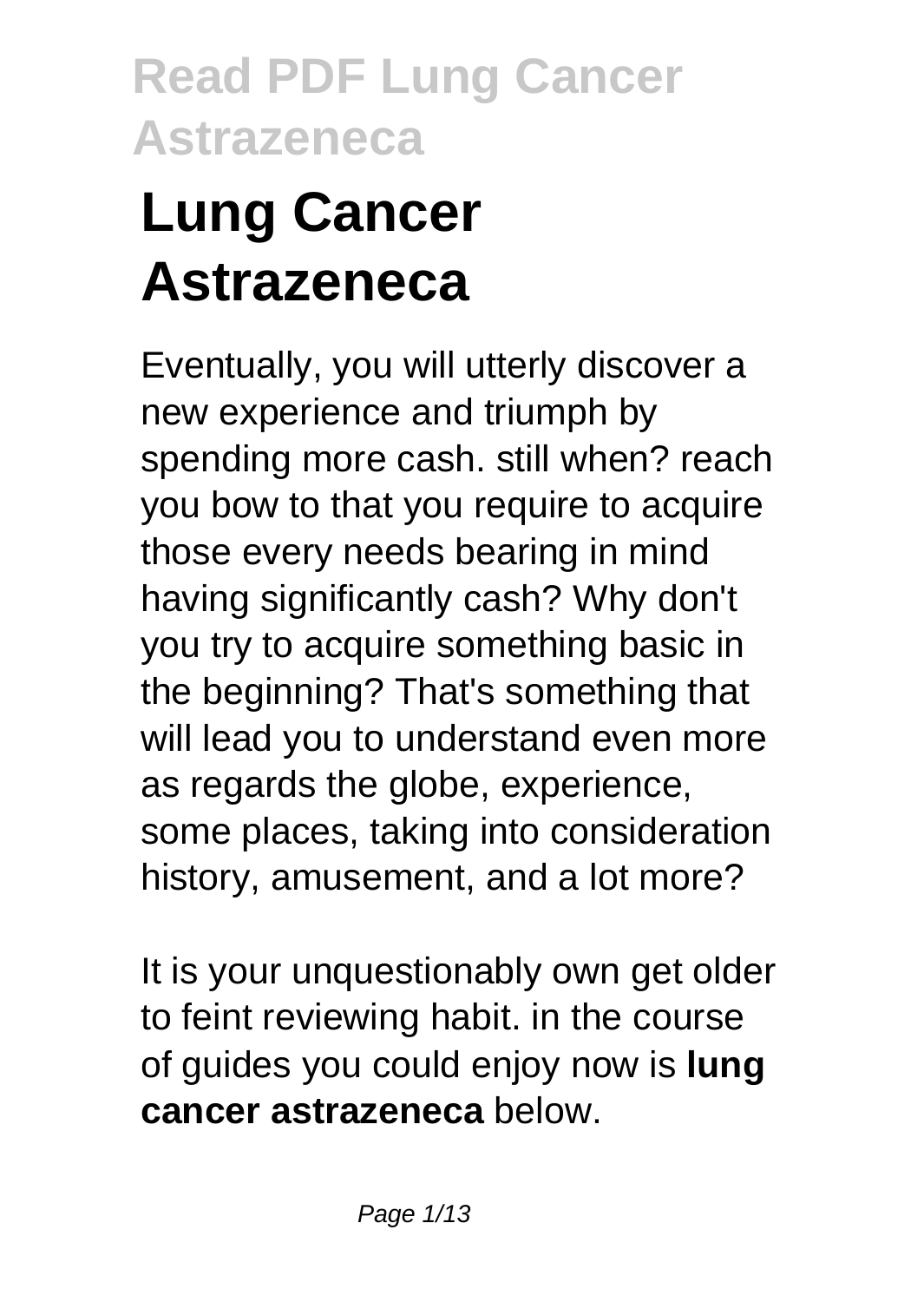# **Lung Cancer Astrazeneca**

Eventually, you will utterly discover a new experience and triumph by spending more cash. still when? reach you bow to that you require to acquire those every needs bearing in mind having significantly cash? Why don't you try to acquire something basic in the beginning? That's something that will lead you to understand even more as regards the globe, experience, some places, taking into consideration history, amusement, and a lot more?

It is your unquestionably own get older to feint reviewing habit. in the course of guides you could enjoy now is **lung cancer astrazeneca** below.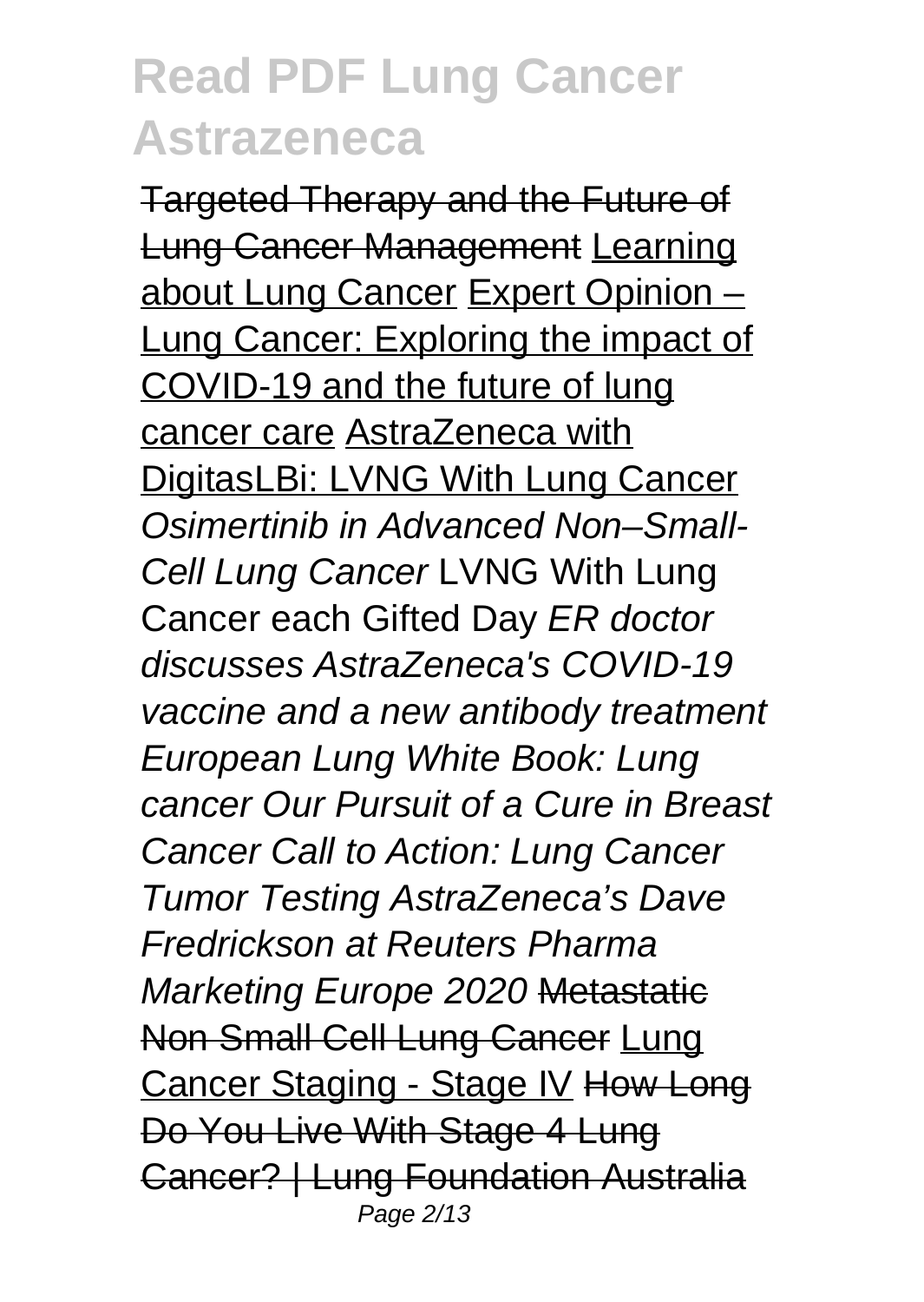Targeted Therapy and the Future of Lung Cancer Management Learning about Lung Cancer Expert Opinion – Lung Cancer: Exploring the impact of COVID-19 and the future of lung cancer care AstraZeneca with DigitasLBi: LVNG With Lung Cancer Osimertinib in Advanced Non–Small-Cell Lung Cancer LVNG With Lung Cancer each Gifted Day ER doctor discusses AstraZeneca's COVID-19 vaccine and a new antibody treatment European Lung White Book: Lung cancer Our Pursuit of a Cure in Breast Cancer Call to Action: Lung Cancer Tumor Testing AstraZeneca's Dave Fredrickson at Reuters Pharma Marketing Europe 2020 Metastatie Non Small Cell Lung Cancer Lung Cancer Staging - Stage IV How Long Do You Live With Stage 4 Lung Cancer? | Lung Foundation Australia Page 2/13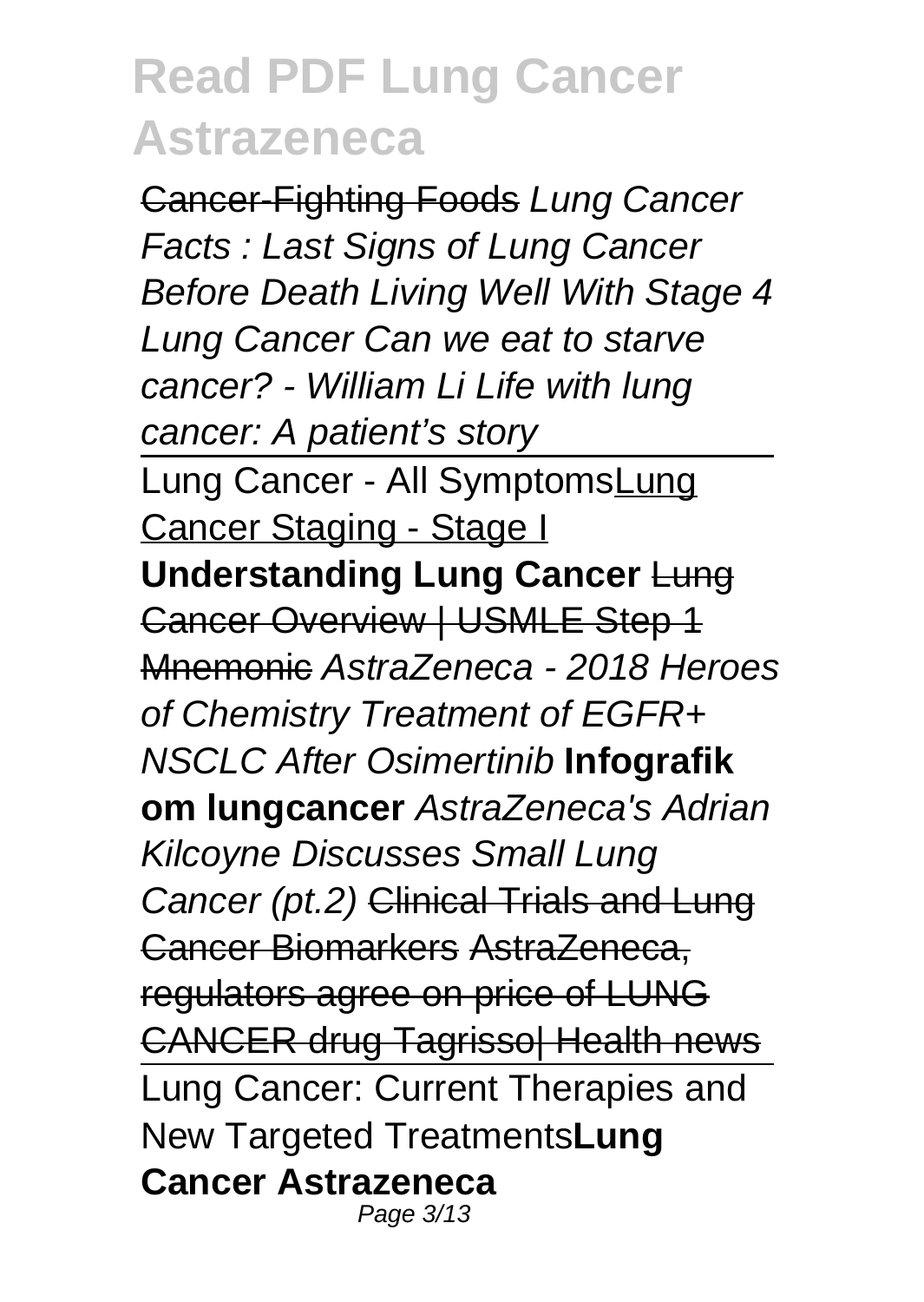Cancer-Fighting Foods Lung Cancer Facts : Last Signs of Lung Cancer Before Death Living Well With Stage 4 Lung Cancer Can we eat to starve cancer? - William Li Life with lung cancer: A patient's story Lung Cancer - All SymptomsLung Cancer Staging - Stage I **Understanding Lung Cancer** Lung Cancer Overview | USMLE Step 1 Mnemonic AstraZeneca - 2018 Heroes of Chemistry Treatment of EGFR+ NSCLC After Osimertinib **Infografik om lungcancer** AstraZeneca's Adrian Kilcoyne Discusses Small Lung Cancer (pt.2) Clinical Trials and Lung Cancer Biomarkers AstraZeneca, regulators agree on price of LUNG CANCER drug Tagrisso| Health news Lung Cancer: Current Therapies and New Targeted Treatments**Lung Cancer Astrazeneca** Page 3/13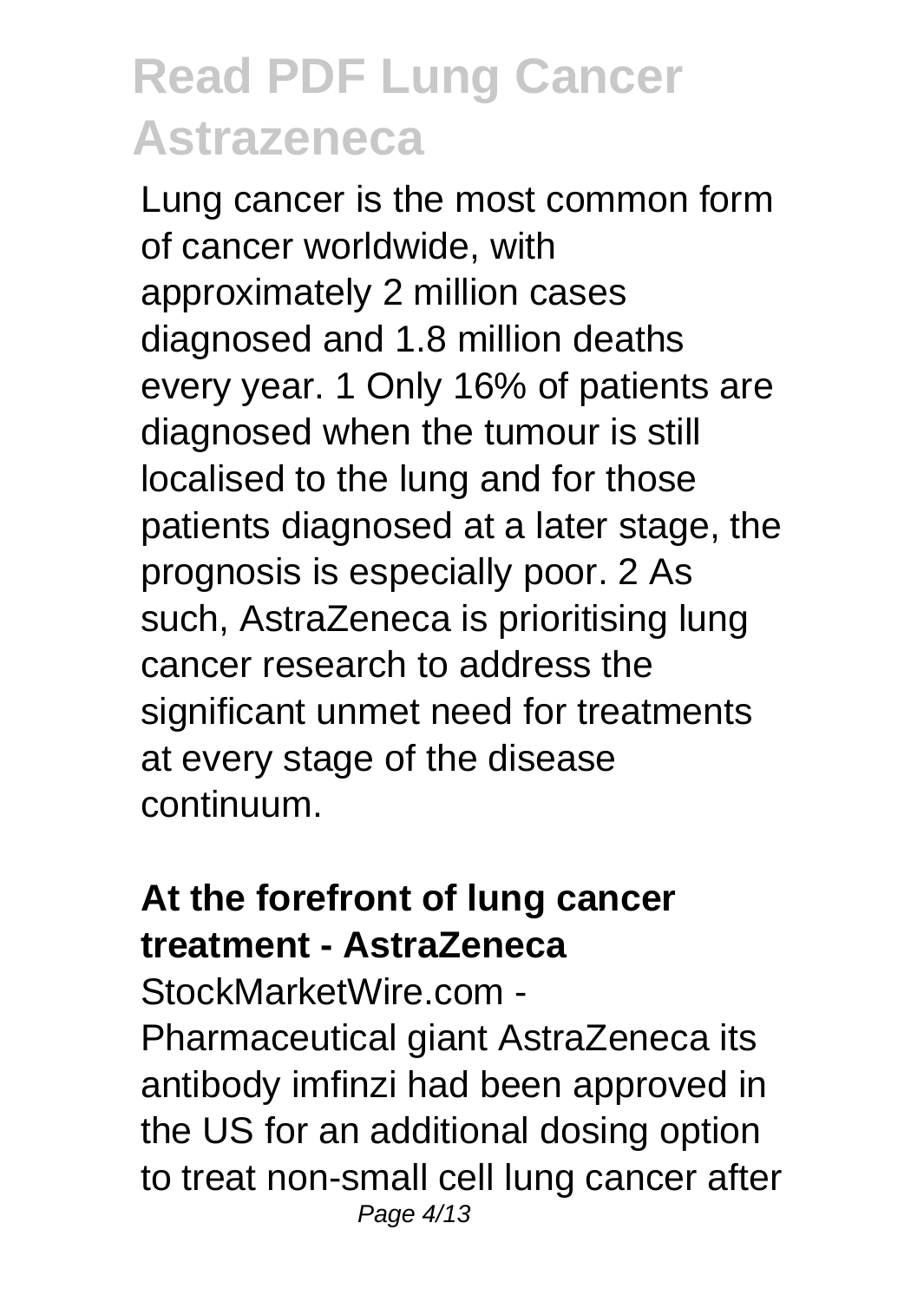Lung cancer is the most common form of cancer worldwide, with approximately 2 million cases diagnosed and 1.8 million deaths every year. 1 Only 16% of patients are diagnosed when the tumour is still localised to the lung and for those patients diagnosed at a later stage, the prognosis is especially poor. 2 As such, AstraZeneca is prioritising lung cancer research to address the significant unmet need for treatments at every stage of the disease continuum.

#### **At the forefront of lung cancer treatment - AstraZeneca**

StockMarketWire.com -

Pharmaceutical giant AstraZeneca its antibody imfinzi had been approved in the US for an additional dosing option to treat non-small cell lung cancer after Page 4/13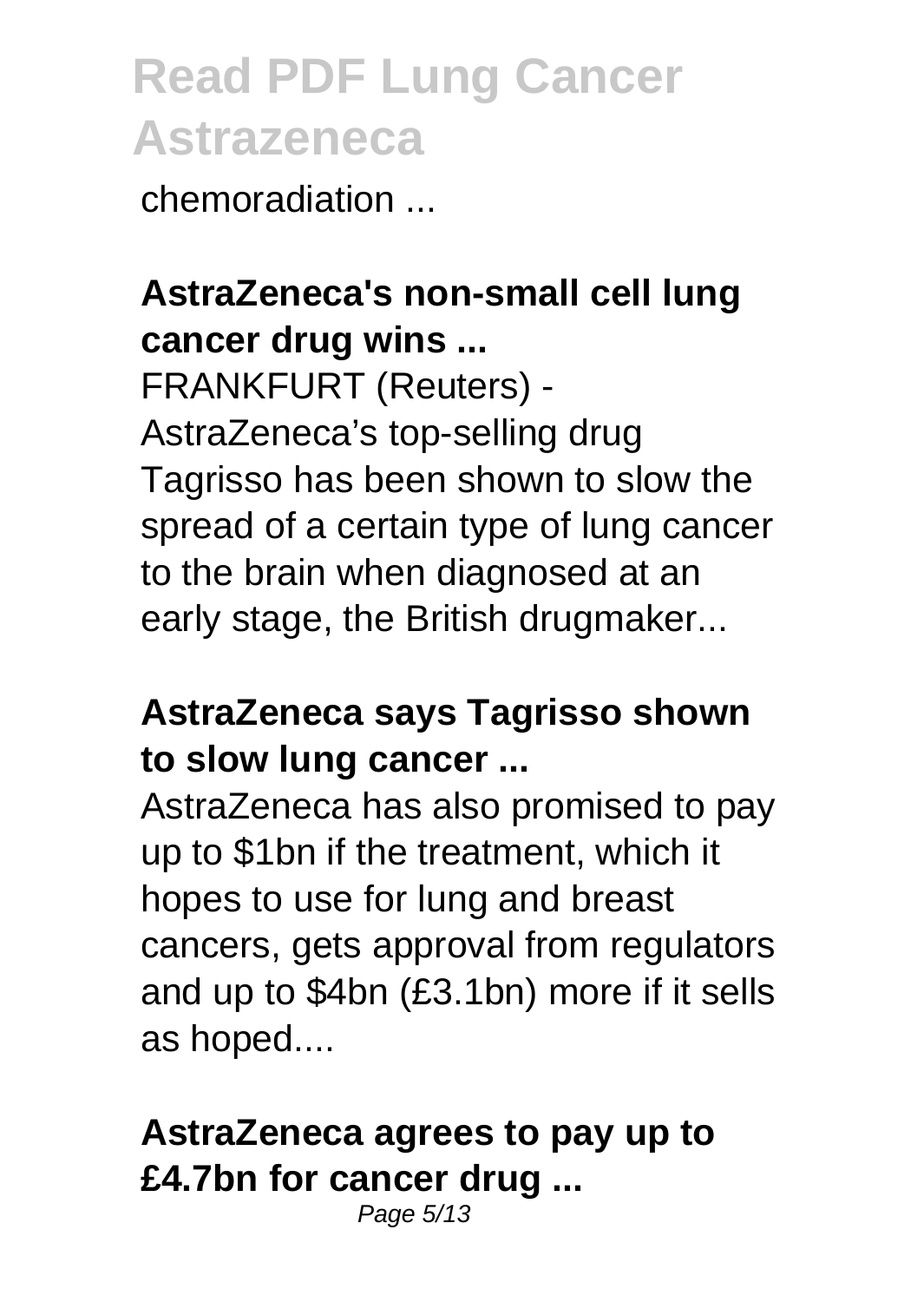chemoradiation ...

#### **AstraZeneca's non-small cell lung cancer drug wins ...**

FRANKFURT (Reuters) - AstraZeneca's top-selling drug Tagrisso has been shown to slow the spread of a certain type of lung cancer to the brain when diagnosed at an early stage, the British drugmaker...

#### **AstraZeneca says Tagrisso shown to slow lung cancer ...**

AstraZeneca has also promised to pay up to \$1bn if the treatment, which it hopes to use for lung and breast cancers, gets approval from regulators and up to \$4bn (£3.1bn) more if it sells as hoped....

#### **AstraZeneca agrees to pay up to £4.7bn for cancer drug ...**

Page 5/13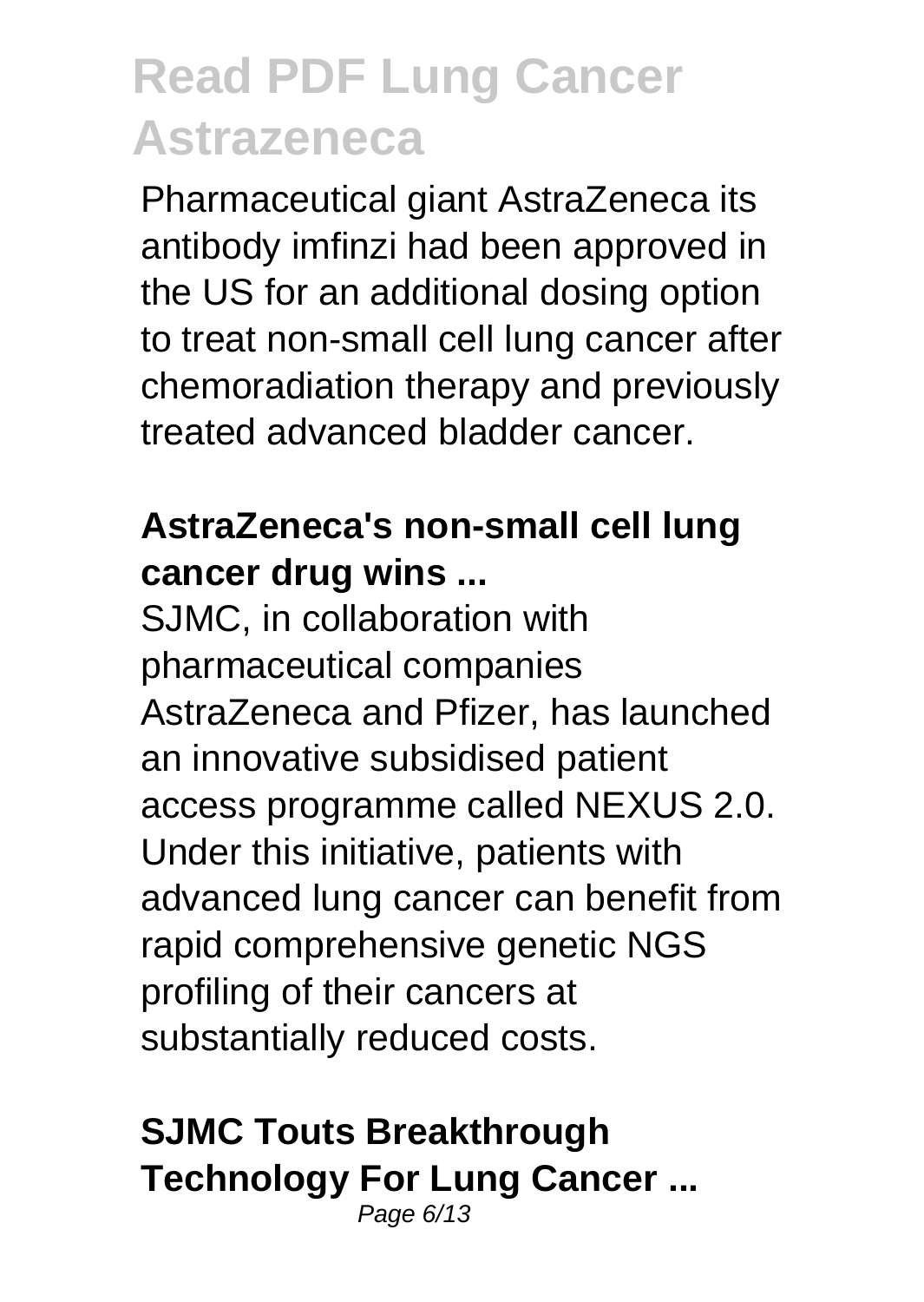Pharmaceutical giant AstraZeneca its antibody imfinzi had been approved in the US for an additional dosing option to treat non-small cell lung cancer after chemoradiation therapy and previously treated advanced bladder cancer.

#### **AstraZeneca's non-small cell lung cancer drug wins ...**

SJMC, in collaboration with pharmaceutical companies AstraZeneca and Pfizer, has launched an innovative subsidised patient access programme called NEXUS 2.0. Under this initiative, patients with advanced lung cancer can benefit from rapid comprehensive genetic NGS profiling of their cancers at substantially reduced costs.

#### **SJMC Touts Breakthrough Technology For Lung Cancer ...** Page 6/13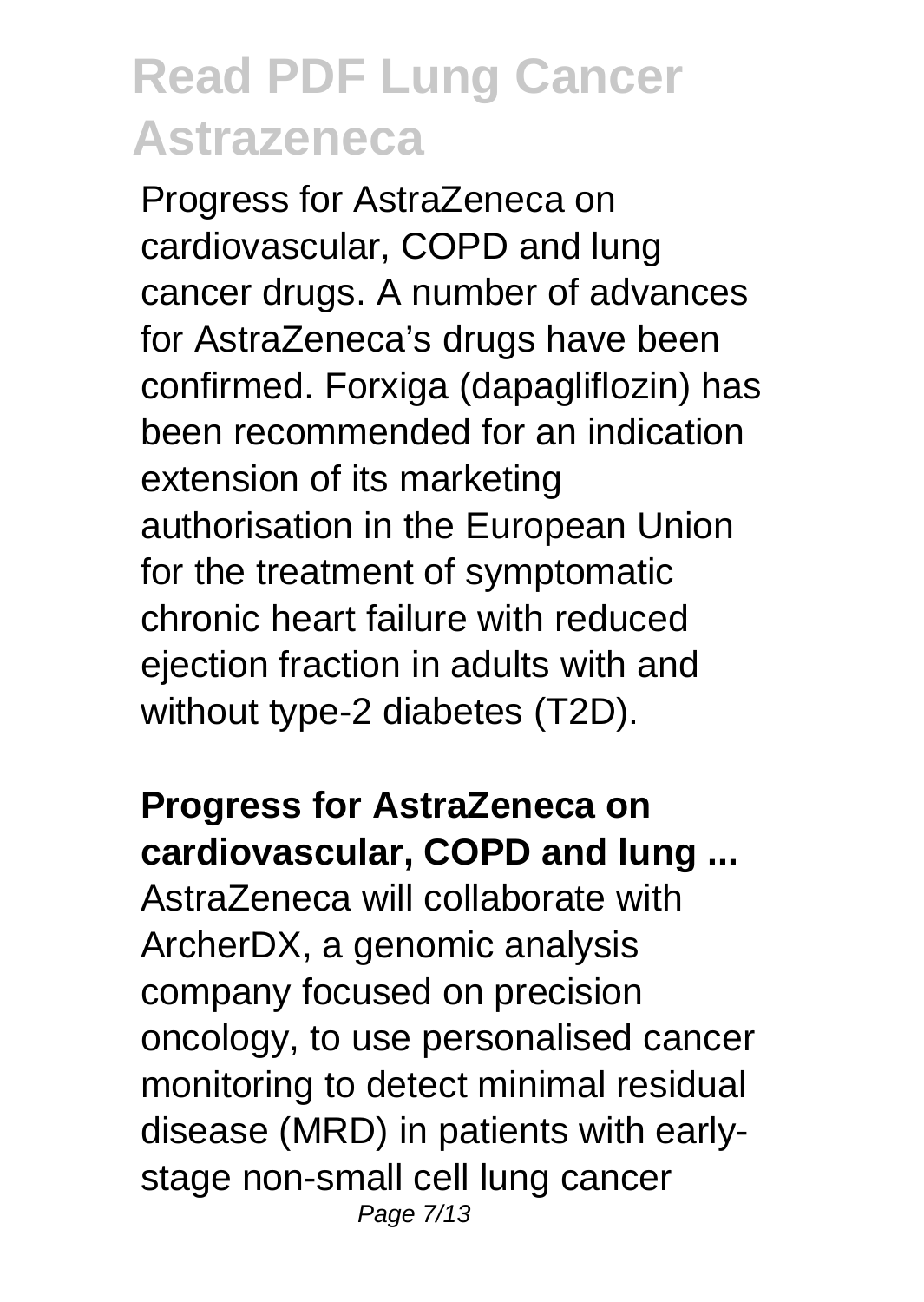Progress for AstraZeneca on cardiovascular, COPD and lung cancer drugs. A number of advances for AstraZeneca's drugs have been confirmed. Forxiga (dapagliflozin) has been recommended for an indication extension of its marketing authorisation in the European Union for the treatment of symptomatic chronic heart failure with reduced ejection fraction in adults with and without type-2 diabetes (T2D).

**Progress for AstraZeneca on cardiovascular, COPD and lung ...** AstraZeneca will collaborate with ArcherDX, a genomic analysis company focused on precision oncology, to use personalised cancer monitoring to detect minimal residual disease (MRD) in patients with earlystage non-small cell lung cancer Page 7/13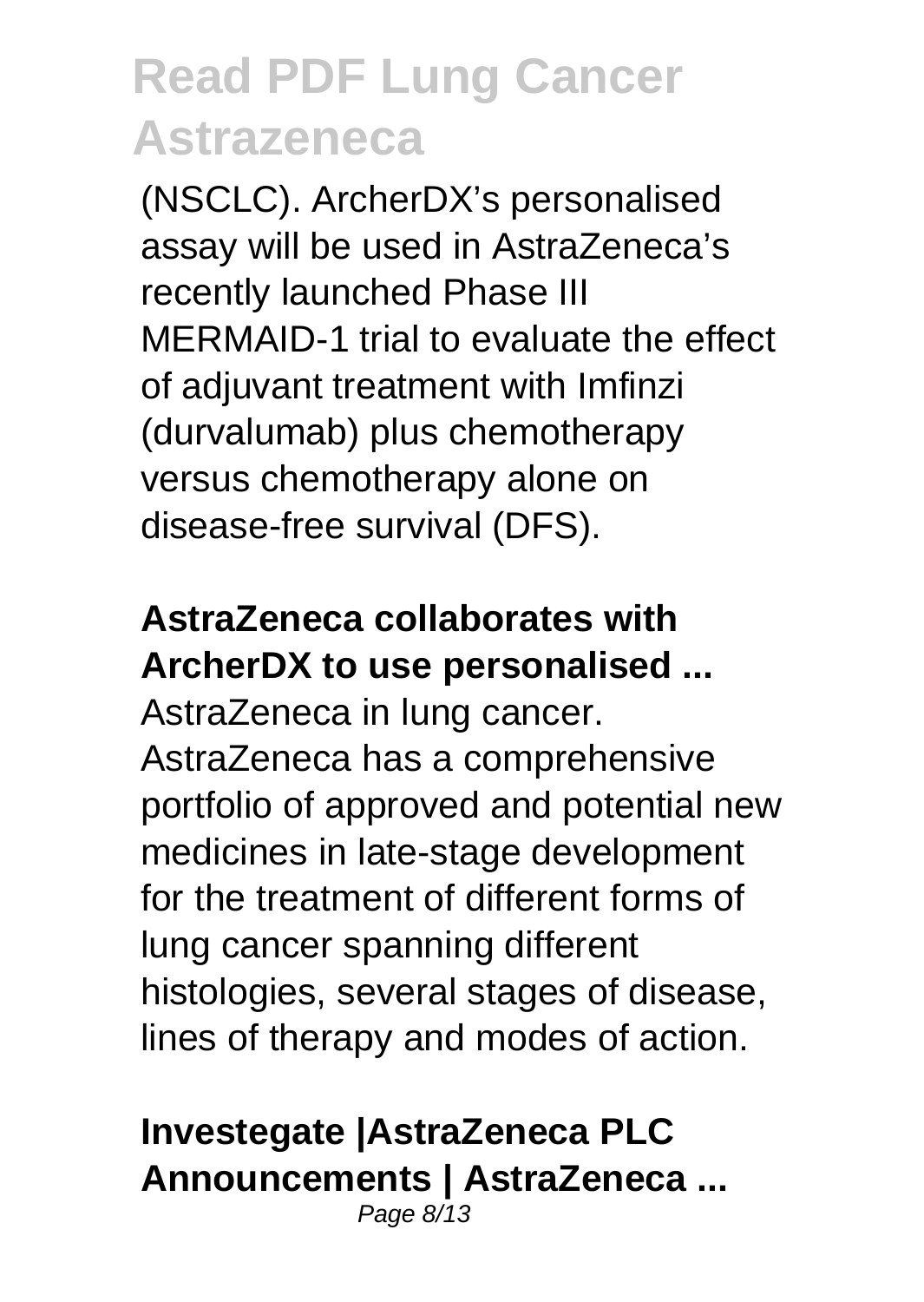(NSCLC). ArcherDX's personalised assay will be used in AstraZeneca's recently launched Phase III MERMAID-1 trial to evaluate the effect of adjuvant treatment with Imfinzi (durvalumab) plus chemotherapy versus chemotherapy alone on disease-free survival (DFS).

#### **AstraZeneca collaborates with ArcherDX to use personalised ...**

AstraZeneca in lung cancer. AstraZeneca has a comprehensive portfolio of approved and potential new medicines in late-stage development for the treatment of different forms of lung cancer spanning different histologies, several stages of disease, lines of therapy and modes of action.

#### **Investegate |AstraZeneca PLC Announcements | AstraZeneca ...**

Page 8/13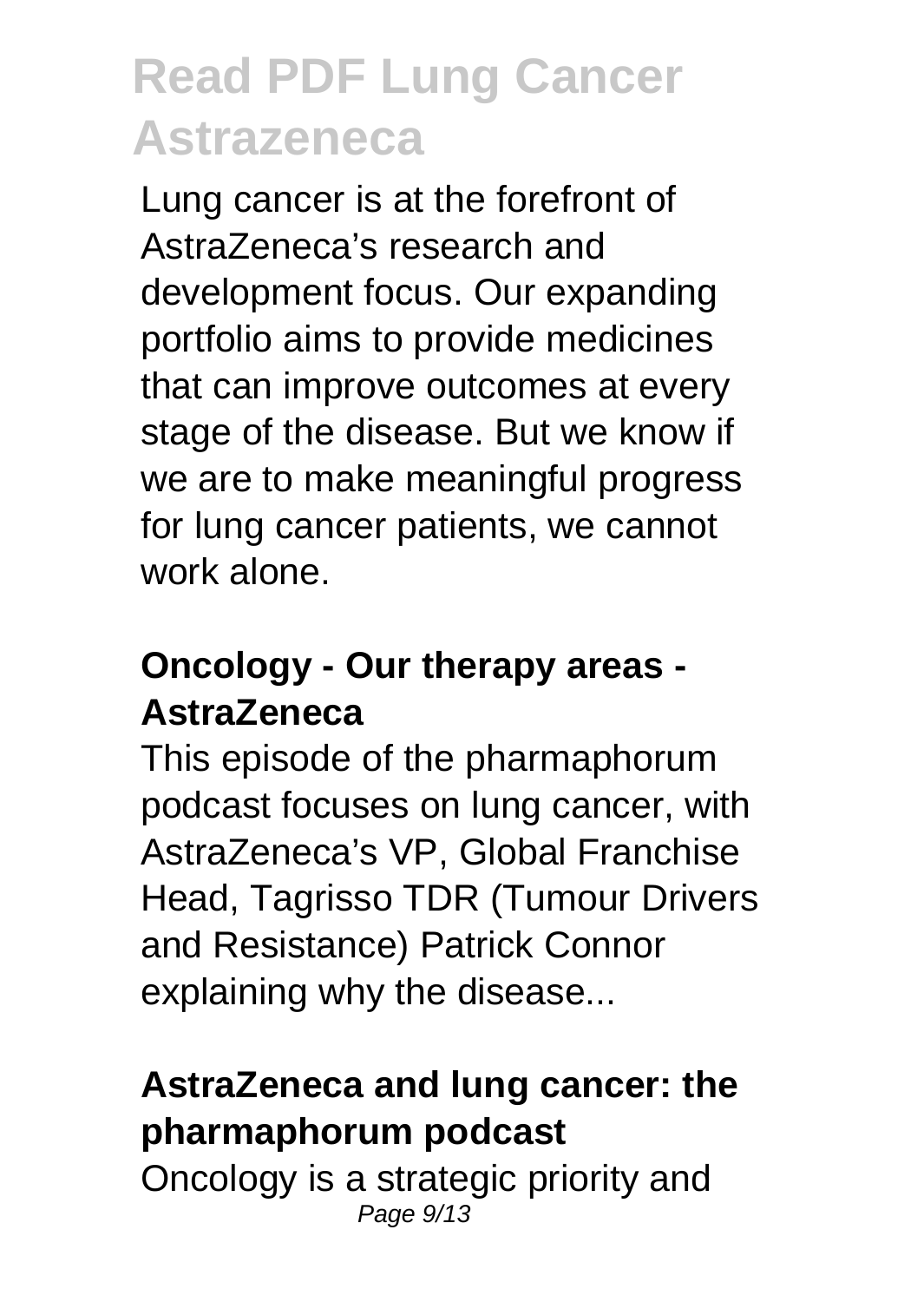Lung cancer is at the forefront of AstraZeneca's research and development focus. Our expanding portfolio aims to provide medicines that can improve outcomes at every stage of the disease. But we know if we are to make meaningful progress for lung cancer patients, we cannot work alone.

#### **Oncology - Our therapy areas - AstraZeneca**

This episode of the pharmaphorum podcast focuses on lung cancer, with AstraZeneca's VP, Global Franchise Head, Tagrisso TDR (Tumour Drivers and Resistance) Patrick Connor explaining why the disease...

#### **AstraZeneca and lung cancer: the pharmaphorum podcast**

Oncology is a strategic priority and Page 9/13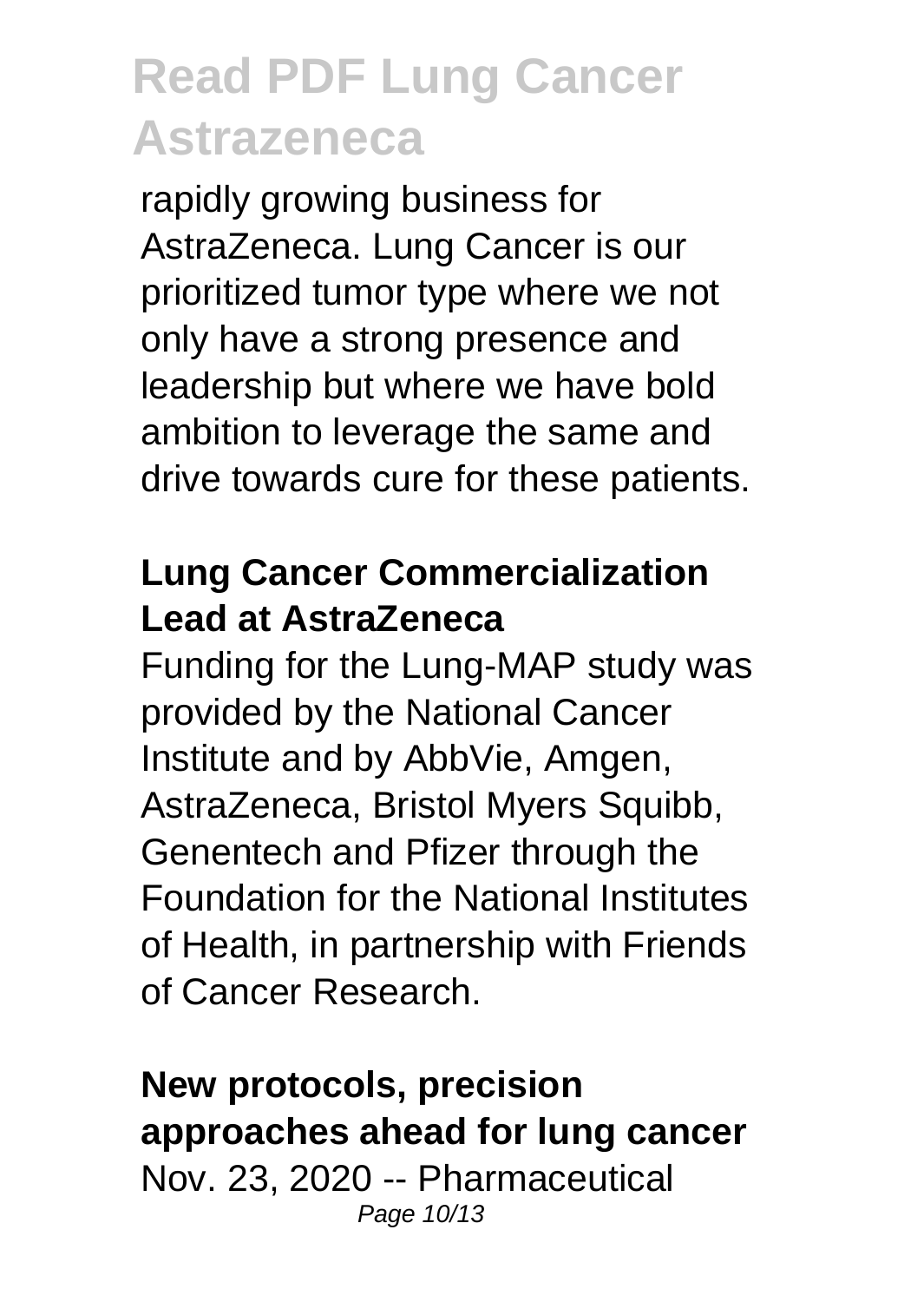rapidly growing business for AstraZeneca. Lung Cancer is our prioritized tumor type where we not only have a strong presence and leadership but where we have bold ambition to leverage the same and drive towards cure for these patients.

#### **Lung Cancer Commercialization Lead at AstraZeneca**

Funding for the Lung-MAP study was provided by the National Cancer Institute and by AbbVie, Amgen, AstraZeneca, Bristol Myers Squibb, Genentech and Pfizer through the Foundation for the National Institutes of Health, in partnership with Friends of Cancer Research.

### **New protocols, precision approaches ahead for lung cancer**

Nov. 23, 2020 -- Pharmaceutical Page 10/13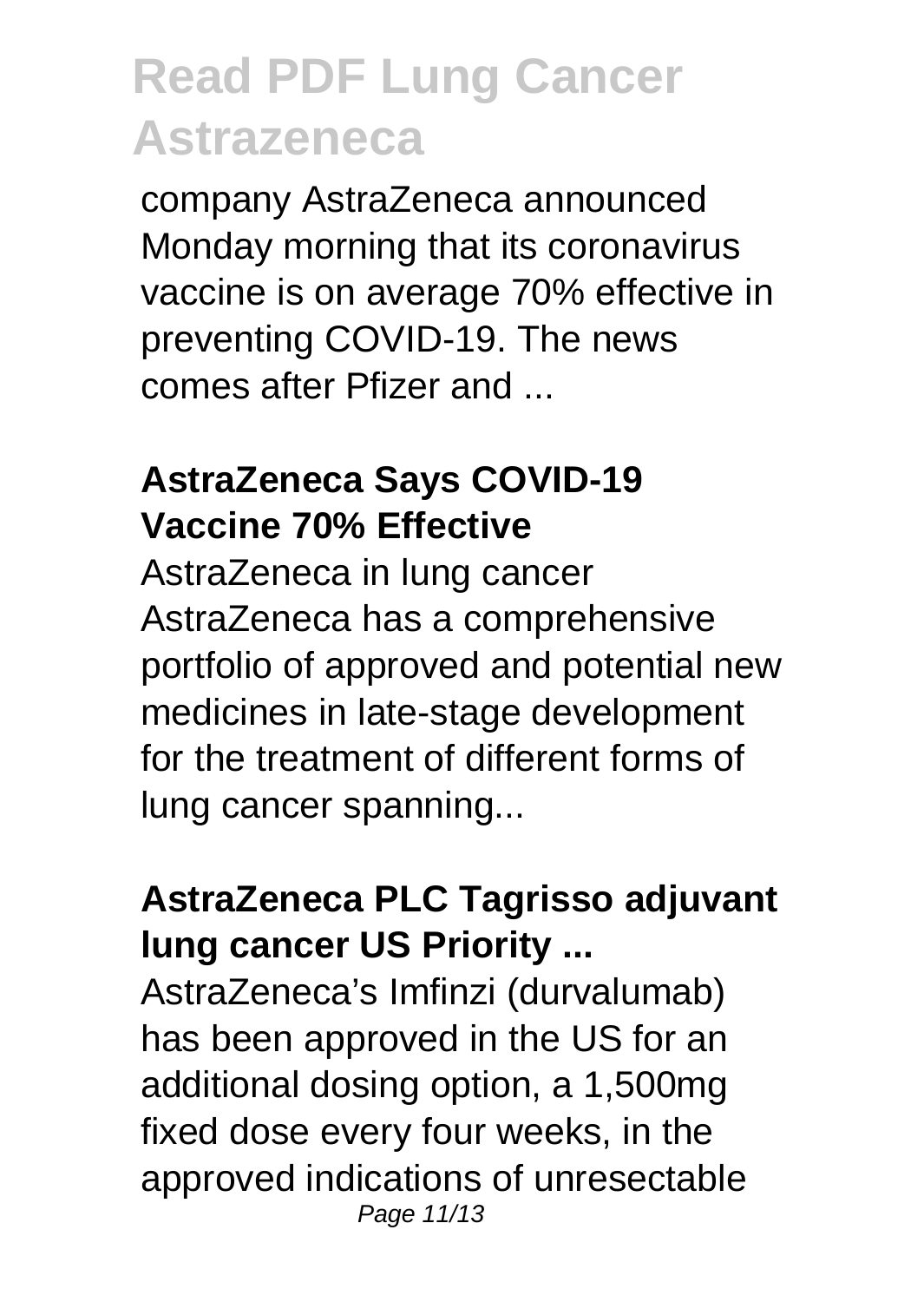company AstraZeneca announced Monday morning that its coronavirus vaccine is on average 70% effective in preventing COVID-19. The news comes after Pfizer and ...

#### **AstraZeneca Says COVID-19 Vaccine 70% Effective**

AstraZeneca in lung cancer AstraZeneca has a comprehensive portfolio of approved and potential new medicines in late-stage development for the treatment of different forms of lung cancer spanning...

#### **AstraZeneca PLC Tagrisso adjuvant lung cancer US Priority ...**

AstraZeneca's Imfinzi (durvalumab) has been approved in the US for an additional dosing option, a 1,500mg fixed dose every four weeks, in the approved indications of unresectable Page 11/13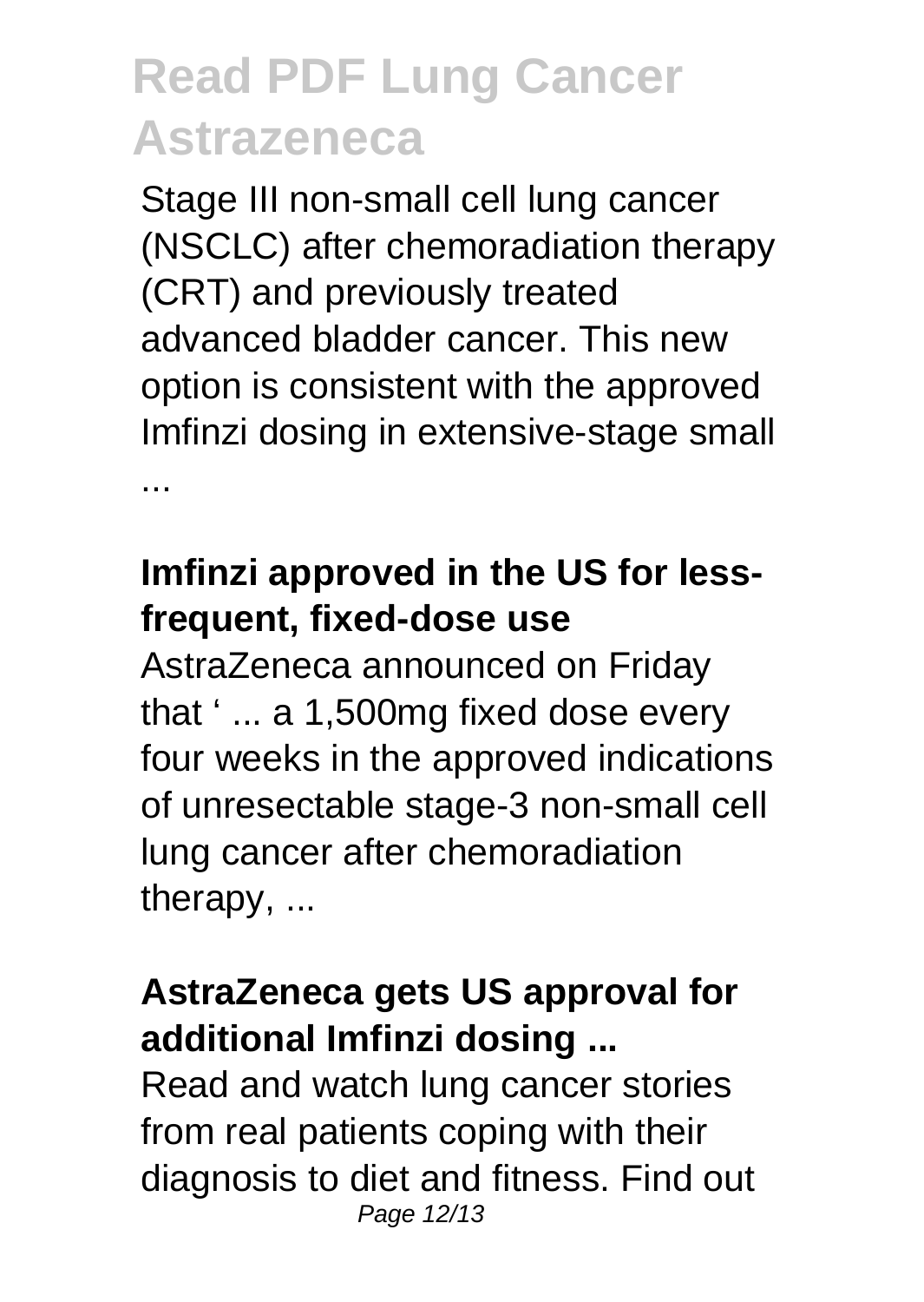Stage III non-small cell lung cancer (NSCLC) after chemoradiation therapy (CRT) and previously treated advanced bladder cancer. This new option is consistent with the approved Imfinzi dosing in extensive-stage small ...

#### **Imfinzi approved in the US for lessfrequent, fixed-dose use**

AstraZeneca announced on Friday that ' ... a 1,500mg fixed dose every four weeks in the approved indications of unresectable stage-3 non-small cell lung cancer after chemoradiation therapy, ...

#### **AstraZeneca gets US approval for additional Imfinzi dosing ...**

Read and watch lung cancer stories from real patients coping with their diagnosis to diet and fitness. Find out Page 12/13